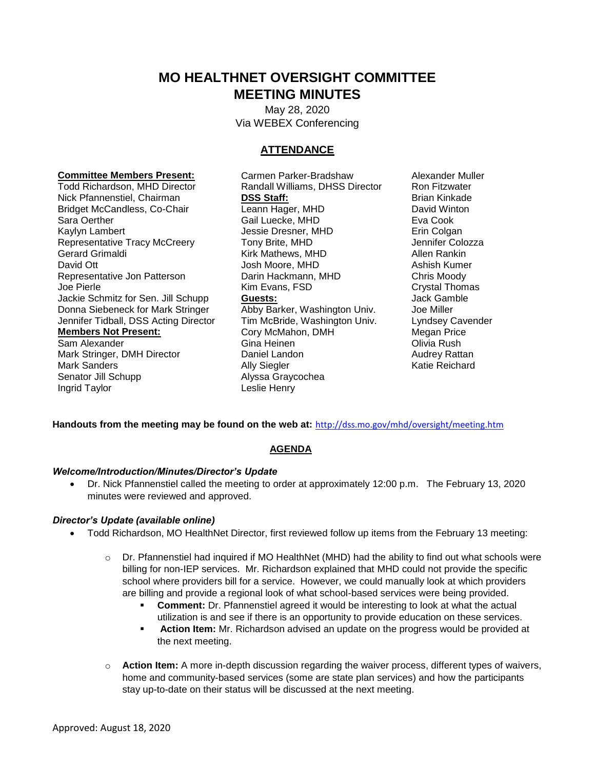# **MO HEALTHNET OVERSIGHT COMMITTEE MEETING MINUTES**

 May 28, 2020 Via WEBEX Conferencing

# **ATTENDANCE**

 Donna Siebeneck for Mark Stringer Abby Barker, Washington Univ. Joe Miller Nick Pfannenstiel, Chairman **DSS Staff: DESS Staff:** Brian Kinkade Brian Kinkade<br>Bridget McCandless, Co-Chair **Britan Leann Hager, MHD** David Winton Bridget McCandless, Co-Chair Sara Oerther **Gail Luecke, MHD** Eva Cook Kaylyn Lambert **Music Colgan** Jessie Dresner, MHD **Erin Colgan** Representative Tracy McCreery Tony Brite, MHD **State State State State State State** Jennifer Colozza Gerard Grimaldi **Kirk Mathews, MHD** Allen Rankin David Ott **David Ott** Josh Moore, MHD Ashish Kumer Representative Jon Patterson Darin Hackmann, MHD Chris Moody Joe Pierle **Crystal Thomas** Kim Evans, FSD **Crystal Thomas** Jackie Schmitz for Sen. Jill Schupp **Guests:** Jack Gamble Jennifer Tidball, DSS Acting Director Tim McBride, Washington Univ. Lyndsey Cavender **Members Not Present: Cory McMahon, DMH** Megan Price Sam Alexander Gina Heinen Olivia Rush

Senator Jill Schupp **Alyssa Graycochea** Ingrid Taylor **Leslie Henry** 

**Committee Members Present:** Carmen Parker-Bradshaw Alexander Muller<br>Todd Richardson, MHD Director Randall Williams, DHSS Director Ron Fitzwater Randall Williams, DHSS Director Ron Fitzwater Mark Stringer, DMH Director **Daniel Landon** Daniel Landon Audrey Rattan Mark Sanders **Ally Siegler** Ally Siegler **Ally Siegler** Ally Siegler Katie Reichard

**Handouts from the meeting may be found on the web at:** <http://dss.mo.gov/mhd/oversight/meeting.htm>

# **AGENDA**

### *Welcome/Introduction/Minutes/Director's Update*

 Dr. Nick Pfannenstiel called the meeting to order at approximately 12:00 p.m. The February 13, 2020 minutes were reviewed and approved.

### *Director's Update (available online)*

- Todd Richardson, MO HealthNet Director, first reviewed follow up items from the February 13 meeting:
	- $\circ$  Dr. Pfannenstiel had inquired if MO HealthNet (MHD) had the ability to find out what schools were billing for non-IEP services. Mr. Richardson explained that MHD could not provide the specific school where providers bill for a service. However, we could manually look at which providers are billing and provide a regional look of what school-based services were being provided.
		- **Comment:** Dr. Pfannenstiel agreed it would be interesting to look at what the actual utilization is and see if there is an opportunity to provide education on these services.
		- **Action Item:** Mr. Richardson advised an update on the progress would be provided at the next meeting.
	- o **Action Item:** A more in-depth discussion regarding the waiver process, different types of waivers, home and community-based services (some are state plan services) and how the participants stay up-to-date on their status will be discussed at the next meeting.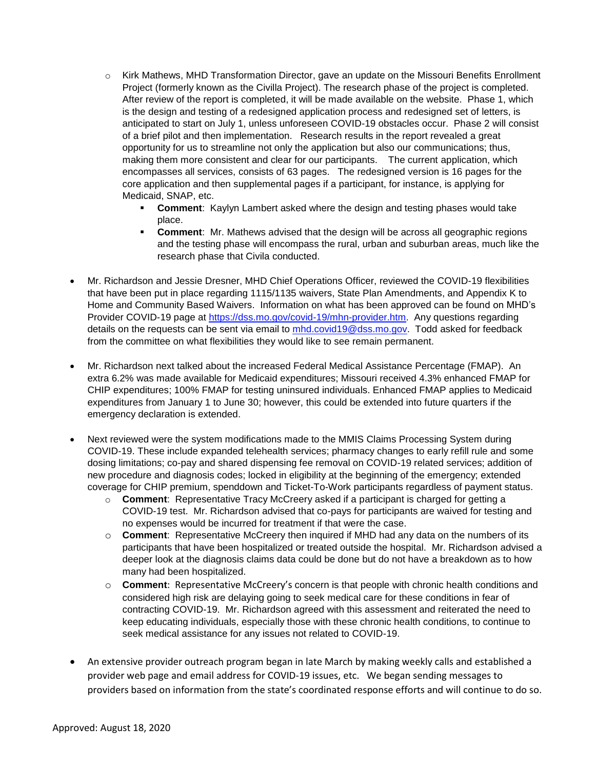- Project (formerly known as the Civilla Project). The research phase of the project is completed. o Kirk Mathews, MHD Transformation Director, gave an update on the Missouri Benefits Enrollment After review of the report is completed, it will be made available on the website. Phase 1, which is the design and testing of a redesigned application process and redesigned set of letters, is anticipated to start on July 1, unless unforeseen COVID-19 obstacles occur. Phase 2 will consist of a brief pilot and then implementation. Research results in the report revealed a great opportunity for us to streamline not only the application but also our communications; thus, making them more consistent and clear for our participants. The current application, which encompasses all services, consists of 63 pages. The redesigned version is 16 pages for the core application and then supplemental pages if a participant, for instance, is applying for Medicaid, SNAP, etc.
	- place. **Comment**: Kaylyn Lambert asked where the design and testing phases would take
	- **Comment:** Mr. Mathews advised that the design will be across all geographic regions and the testing phase will encompass the rural, urban and suburban areas, much like the research phase that Civila conducted.
- that have been put in place regarding 1115/1135 waivers, State Plan Amendments, and Appendix K to Home and Community Based Waivers. Information on what has been approved can be found on MHD's details on the requests can be sent via email to *mhd.covid19@dss.mo.gov*. Todd asked for feedback Mr. Richardson and Jessie Dresner, MHD Chief Operations Officer, reviewed the COVID-19 flexibilities Provider COVID-19 page at [https://dss.mo.gov/covid-19/mhn-provider.htm.](https://dss.mo.gov/covid-19/mhn-provider.htm) Any questions regarding from the committee on what flexibilities they would like to see remain permanent.
- CHIP expenditures; 100% FMAP for testing uninsured individuals. Enhanced FMAP applies to Medicaid expenditures from January 1 to June 30; however, this could be extended into future quarters if the emergency declaration is extended. Mr. Richardson next talked about the increased Federal Medical Assistance Percentage (FMAP). An extra 6.2% was made available for Medicaid expenditures; Missouri received 4.3% enhanced FMAP for
- new procedure and diagnosis codes; locked in eligibility at the beginning of the emergency; extended Next reviewed were the system modifications made to the MMIS Claims Processing System during COVID-19. These include expanded telehealth services; pharmacy changes to early refill rule and some dosing limitations; co-pay and shared dispensing fee removal on COVID-19 related services; addition of coverage for CHIP premium, spenddown and Ticket-To-Work participants regardless of payment status.
	- o **Comment**: Representative Tracy McCreery asked if a participant is charged for getting a COVID-19 test. Mr. Richardson advised that co-pays for participants are waived for testing and no expenses would be incurred for treatment if that were the case.
	- o **Comment**: Representative McCreery then inquired if MHD had any data on the numbers of its participants that have been hospitalized or treated outside the hospital. Mr. Richardson advised a deeper look at the diagnosis claims data could be done but do not have a breakdown as to how many had been hospitalized.
	- o **Comment**: Representative McCreery's concern is that people with chronic health conditions and considered high risk are delaying going to seek medical care for these conditions in fear of contracting COVID-19. Mr. Richardson agreed with this assessment and reiterated the need to keep educating individuals, especially those with these chronic health conditions, to continue to seek medical assistance for any issues not related to COVID-19.
- An extensive provider outreach program began in late March by making weekly calls and established a provider web page and email address for COVID-19 issues, etc. We began sending messages to providers based on information from the state's coordinated response efforts and will continue to do so.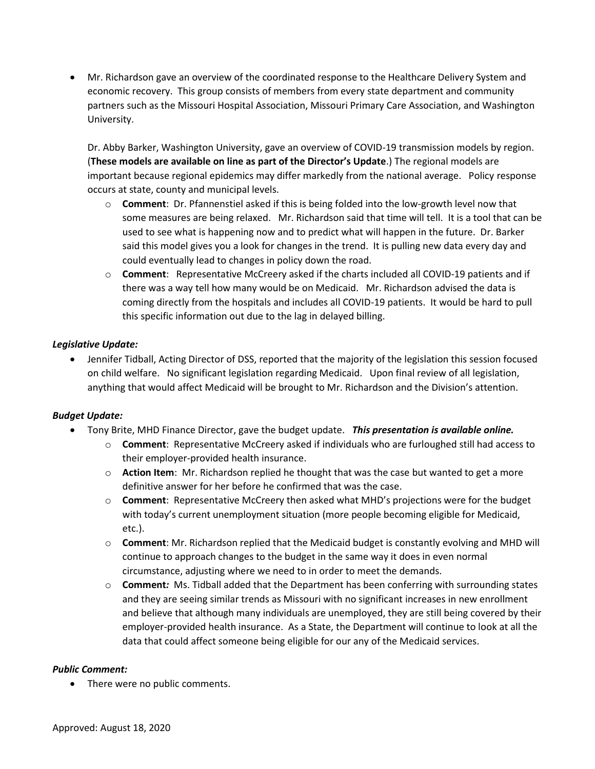partners such as the Missouri Hospital Association, Missouri Primary Care Association, and Washington Mr. Richardson gave an overview of the coordinated response to the Healthcare Delivery System and economic recovery. This group consists of members from every state department and community University.

 occurs at state, county and municipal levels. Dr. Abby Barker, Washington University, gave an overview of COVID-19 transmission models by region. (**These models are available on line as part of the Director's Update**.) The regional models are important because regional epidemics may differ markedly from the national average. Policy response

- o **Comment**: Dr. Pfannenstiel asked if this is being folded into the low-growth level now that some measures are being relaxed. Mr. Richardson said that time will tell. It is a tool that can be used to see what is happening now and to predict what will happen in the future. Dr. Barker said this model gives you a look for changes in the trend. It is pulling new data every day and could eventually lead to changes in policy down the road.
- o **Comment**: Representative McCreery asked if the charts included all COVID-19 patients and if there was a way tell how many would be on Medicaid. Mr. Richardson advised the data is coming directly from the hospitals and includes all COVID-19 patients. It would be hard to pull this specific information out due to the lag in delayed billing.

## *Legislative Update:*

 on child welfare. No significant legislation regarding Medicaid. Upon final review of all legislation, Jennifer Tidball, Acting Director of DSS, reported that the majority of the legislation this session focused anything that would affect Medicaid will be brought to Mr. Richardson and the Division's attention.

### *Budget Update:*

- Tony Brite, MHD Finance Director, gave the budget update. *This presentation is available online.* 
	- o **Comment**: Representative McCreery asked if individuals who are furloughed still had access to their employer-provided health insurance.
	- o **Action Item**: Mr. Richardson replied he thought that was the case but wanted to get a more definitive answer for her before he confirmed that was the case.
	- o **Comment**: Representative McCreery then asked what MHD's projections were for the budget with today's current unemployment situation (more people becoming eligible for Medicaid, etc.).
	- o **Comment**: Mr. Richardson replied that the Medicaid budget is constantly evolving and MHD will continue to approach changes to the budget in the same way it does in even normal circumstance, adjusting where we need to in order to meet the demands.
	- o **Comment***:* Ms. Tidball added that the Department has been conferring with surrounding states and they are seeing similar trends as Missouri with no significant increases in new enrollment and believe that although many individuals are unemployed, they are still being covered by their employer-provided health insurance. As a State, the Department will continue to look at all the data that could affect someone being eligible for our any of the Medicaid services.

### *Public Comment:*

• There were no public comments.